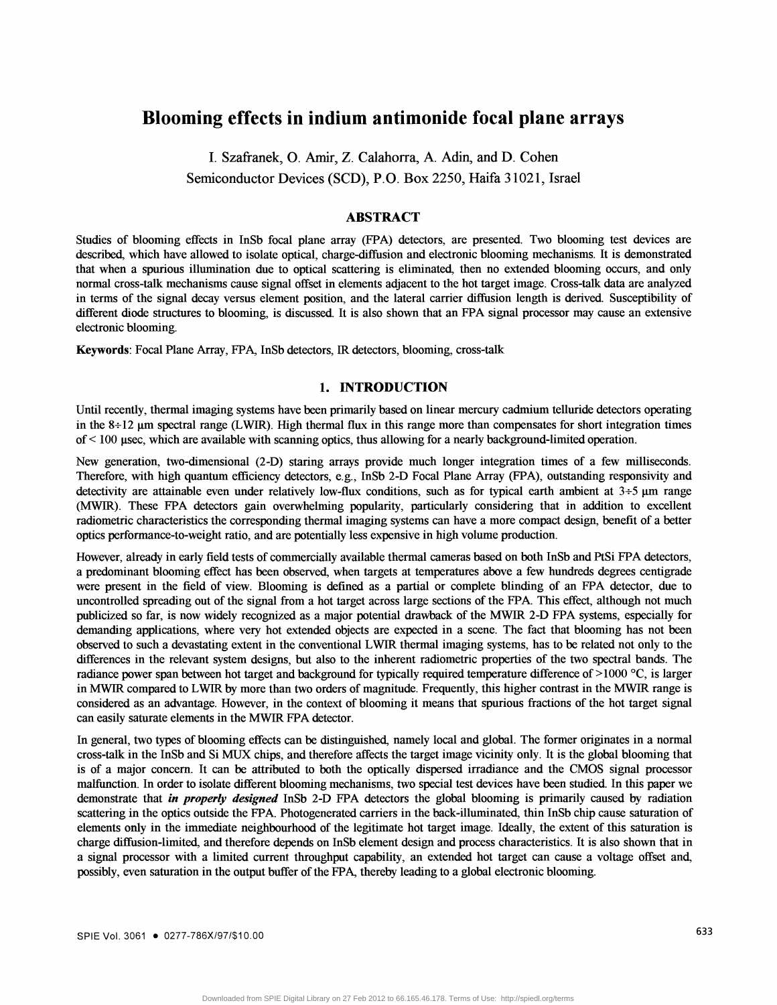# Blooming effects in indium antimonide focal plane arrays

I. Szafranek, 0. Amir, Z. Calahorra, A. Adin, and D. Cohen Semiconductor Devices (SCD), P.O. Box 2250, Haifa 3 1021, Israel

## ABSTRACT

Studies of blooming effects in InSb focal plane array (FPA) detectors, are presented. Two blooming test devices are described, which have allowed to isolate optical, charge-diffusion and electronic blooming mechanisms. It is demonstrated that when a spurious illumination due to optical scattering is eliminated, then no extended blooming occurs, and only normal cross-talk mechanisms cause signal offset in elements adjacent to the hot target image. Cross-talk data are analyzed in terms of the signal decay versus element position, and the lateral carrier diffusion length is derived. Susceptibility of different diode structures to blooming, is discussed. It is also shown that an EPA signal processor may cause an extensive electronic blooming.

Keywords: Focal Plane Array, FPA, InSb detectors, JR detectors, blooming, cross-talk

## 1. iNTRODUCTION

Until recently, thermal imaging systems have been primarily based on linear mercury cadmium telluride detectors operating in the  $8\div12$  µm spectral range (LWIR). High thermal flux in this range more than compensates for short integration times of < 100 psec, which are available with scanning optics, thus allowing for a nearly background-limited operation.

New generation, two-dimensional (2-D) staring arrays provide much longer integration times of a few milliseconds. Therefore, with high quantum efficiency detectors, e.g., InSb 2-D Focal Plane Array (FPA), outstanding responsivity and detectivity are attainable even under relatively low-flux conditions, such as for typical earth ambient at  $3+5 \mu m$  range (MWIR). These EPA detectors gain overwhelming popnlarity, particularly considering that in addition to excellent radiometric characteristics the corresponding thermal imaging systems can have a more compact design, benefit of a better optics performance-to-weight ratio, and are potentially less expensive in high volume production.

However, already in early field tests of commercially available thermal cameras based on both InSb and PtSi EPA detectors, a predominant blooming effect has been observed. when targets at temperatures above a few hundreds degrees centigrade were present in the field of view. Blooming is defined as a partial or complete blinding of an EPA detector, due to uncontrolled spreading out of the signal from a hot target across large sections of the EPA. This effect, although not much publicized so far, is now widely recognized as a major potential drawback of the MWIR 2-D EPA systems, especially for demanding applications, where very hot extended objects are expected in a scene. The fact that blooming has not been observed to such a devastating extent in the conventional LWIR thermal imaging systems, has to be related not only to the differences in the relevant system designs, but also to the inherent radiometric properties of the two spectral bands. The radiance power span between hot target and background for typically required temperature difference of >1000 °C, is larger in MWIR compared to LWIR by more than two orders of magnitude. Frequently, this higher contrast in the MWIR range is considered as an advantage. However, in the context of blooming it means that spurious fractions of the hot target signal can easily saturate elements in the MWIR EPA detector.

In general, two types of blooming effects can be distinguished, namely local and global. The former originates in a normal cross-talk in the InSb and Si MUX chips, and therefore affects the target image vicinity only. It is the global blooming that is of a major concern. It can be attributed to both the optically dispersed irradiance and the CMOS signal processor malfunction. In order to isolate different blooming mechanisms, two special test devices have been studied. In this paper we demonstrate that *in properly designed* InSb 2-D FPA detectors the global blooming is primarily caused by radiation scattering in the optics outside the FPA. Photogenerated carriers in the back-illuminated, thin InSb chip cause saturation of elements only in the immediate neighbourhood of the legitimate hot target image. Ideally, the extent of this saturation is charge diffusion-limited, and therefore depends on InSb element design and process characteristics. It is also shown that in a signal processor with a limited current throughput capability, an extended hot target can cause a voltage offset and, possibly, even saturation in the output buffer of the FPA, thereby leading to a global electronic blooming.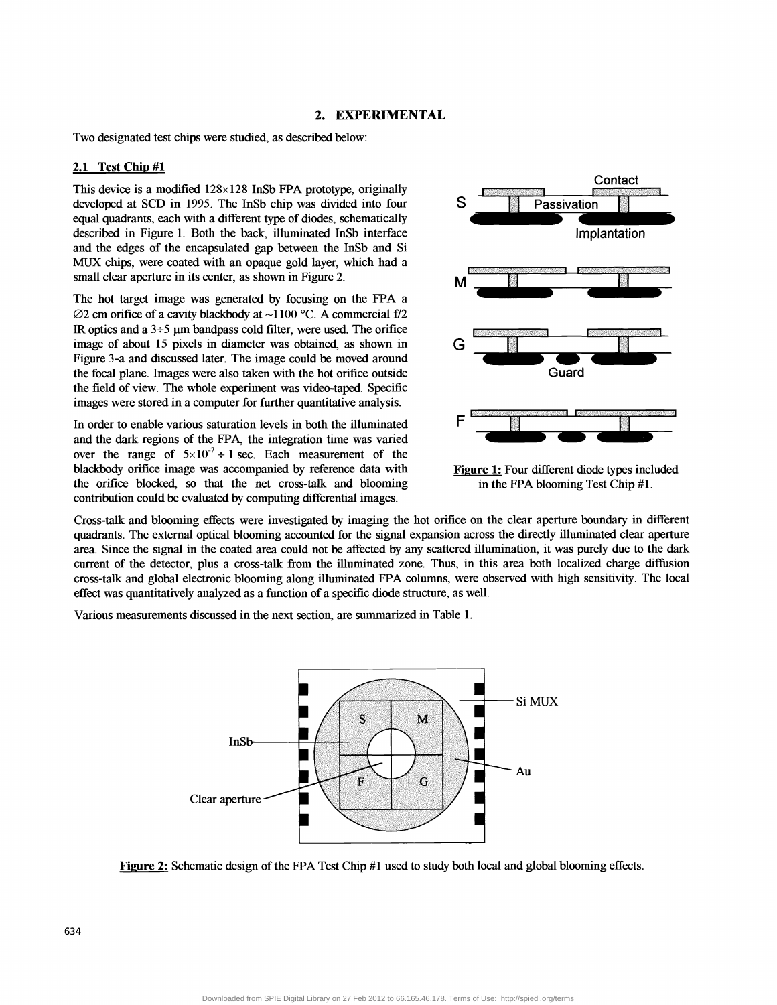## 2. EXPERIMENTAL

Two designated test chips were studied, as described below:

#### 2.1 Test Chip #1

This device is a modified  $128 \times 128$  InSb FPA prototype, originally developed at SCD in 1995. The InSb chip was divided into four developed at SCD in 1995. The InSb chip was divided into four equal quadrants, each with a different type of diodes, schematically described in Figure 1. Both the back, illuminated InSb interface and the edges of the encapsulated gap between the InSb and Si MIJX chips, were coated with an opaque gold layer, which had a small clear aperture in its center, as shown in Figure 2.

The hot target image was generated by focusing on the EPA a  $\varnothing$ 2 cm orifice of a cavity blackbody at ~1100 °C. A commercial f/2 IR optics and a  $3\div 5$  µm bandpass cold filter, were used. The orifice image of about 15 pixels in diameter was obtained, as shown in Figure 3-a and discussed later. The image could be moved around the focal plane. Images were also taken with the hot orifice outside the field of view. The whole experiment was video-taped. Specffic images were stored in a computer for further quantitative analysis.

In order to enable various saturation levels in both the illuminated and the dark regions of the FPA, the integration time was varied over the range of  $5\times10^{-7} \div 1$  sec. Each measurement of the blackbody orifice image was accompanied by reference data with the orifice blocked, so that the net cross-talk and blooming contribution could be evaluated by computing differential images.



Figure 1: Four different diode types included in the FPA blooming Test Chip #1.

Cross-talk and blooming effects were investigated by imaging the hot orifice on the clear aperture boundary in different quadrants. The external optical blooming accounted for the signal expansion across the directly illuminated clear aperture area. Since the signal in the coated area could not be affected by any scattered illumination, it was purely due to the dark current of the detector, plus a cross-talk from the illuminated zone. Thus, in this area both localized charge diffusion cross-talk and global electronic blooming along illuminated FPA columns, were observed with high sensitivity. The local effect was quantitatively analyzed as a function of a specific diode structure, as well.

Various measurements discussed in the next section, are summarized in Table 1.



Figure 2: Schematic design of the FPA Test Chip #1 used to study both local and global blooming effects.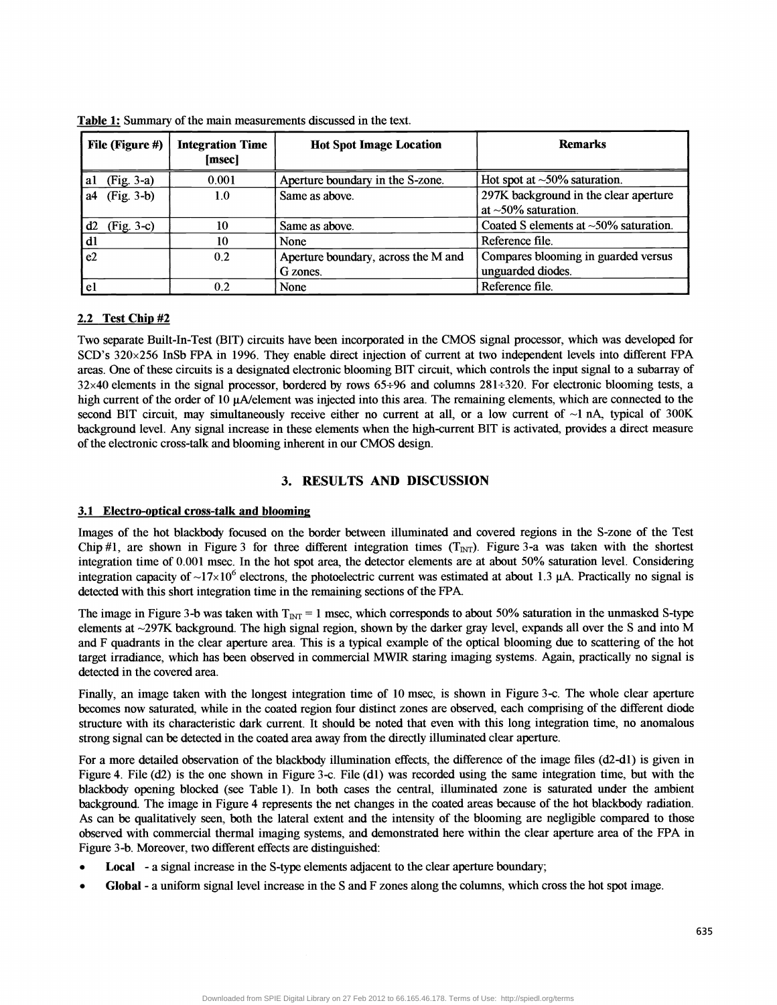| File (Figure #)    | <b>Integration Time</b><br>[msec] | <b>Hot Spot Image Location</b>                  | <b>Remarks</b>                                                     |
|--------------------|-----------------------------------|-------------------------------------------------|--------------------------------------------------------------------|
| (Fig. 3-a)<br>al   | 0.001                             | Aperture boundary in the S-zone.                | Hot spot at $\sim$ 50% saturation.                                 |
| $(Fig. 3-b)$<br>a4 | $1.0\,$                           | Same as above.                                  | 297K background in the clear aperture<br>at $\sim$ 50% saturation. |
| $(Fig. 3-c)$<br>d2 | 10                                | Same as above.                                  | Coated S elements at $\sim$ 50% saturation.                        |
| dl                 | 10                                | None                                            | Reference file.                                                    |
| e2                 | 0.2                               | Aperture boundary, across the M and<br>G zones. | Compares blooming in guarded versus<br>unguarded diodes.           |
| el                 | 0.2                               | None                                            | Reference file.                                                    |

Table 1: Summary of the main measurements discussed in the text.

## 2.2 Test Chip #2

Two separate Built-In-Test (BIT) circuits have been incorporated in the CMOS signal processor, which was developed for SCD's 320x256 InSb EPA in 1996. They enable direct injection of current at two independent levels into different EPA areas. One of these circuits is a designated electronic blooming BIT circuit, which controls the input signal to a subarray of 32x40 elements in the signal processor, bordered by rows 65÷96 and columns 281÷320. For electronic blooming tests, a high current of the order of 10  $\mu$ A/element was injected into this area. The remaining elements, which are connected to the second BIT circuit, may simultaneously receive either no current at all, or a low current of  $\sim$ 1 nA, typical of 300K background level. Any signal increase in these elements when the high-current BIT is activated, provides a direct measure of the electronic cross-talk and blooming inherent in our CMOS design.

## 3. RESULTS AND DISCUSSION

## 3.1 Electro-optical cross-talk and blooming

Images of the hot blackbody focused on the border between illuminated and covered regions in the S-zone of the Test Chip #1, are shown in Figure 3 for three different integration times  $(T_{\text{INT}})$ . Figure 3-a was taken with the shortest integration time of 0.001 msec. In the hot spot area, the detector elements are at about 50% saturation level. Considering integration capacity of  $\sim 17 \times 10^6$  electrons, the photoelectric current was estimated at about 1.3 µA. Practically no signal is detected with this short integration time in the remaining sections of the FPA.

The image in Figure 3-b was taken with  $T_{\text{INT}} = 1$  msec, which corresponds to about 50% saturation in the unmasked S-type elements at ~297K background. The high signal region, shown by the darker gray level, expands all over the S and into M and F quadrants in the clear aperture area. This is a typical example of the optical blooming due to scattering of the hot target irradiance, which has been observed in commercial MWIR staring imaging systems. Again, practically no signal is detected in the covered area.

Finally, an image taken with the longest integration time of 10 msec, is shown in Figure 3-c. The whole clear aperture becomes now saturated, while in the coated region four distinct zones are observed, each comprising of the different diode structure with its characteristic dark current. It should be noted that even with this long integration time, no anomalous strong signal can be detected in the coated area away from the directly illuminated clear aperture.

For a more detailed observation of the blackbody illumination effects, the difference of the image files (d2-dl) is given in Figure 4. File  $(d2)$  is the one shown in Figure 3-c. File  $(d1)$  was recorded using the same integration time, but with the blackbody opening blocked (see Table 1). In both cases the central, illuminated zone is saturated under the ambient background. The image in Figure 4 represents the net changes in the coated areas because of the hot blackbody radiation. As can be qualitatively seen, both the lateral extent and the intensity of the blooming are negligible compared to those observed with commercial thermal imaging systems, and demonstrated here within the clear aperture area of the EPA in

- 
- Figure 3-b. Moreover, two different effects are distinguished:<br>
Local a signal increase in the S-type elements adjacent to the clear aperture boundary;<br>
Global a uniform signal level increase in the S and F zones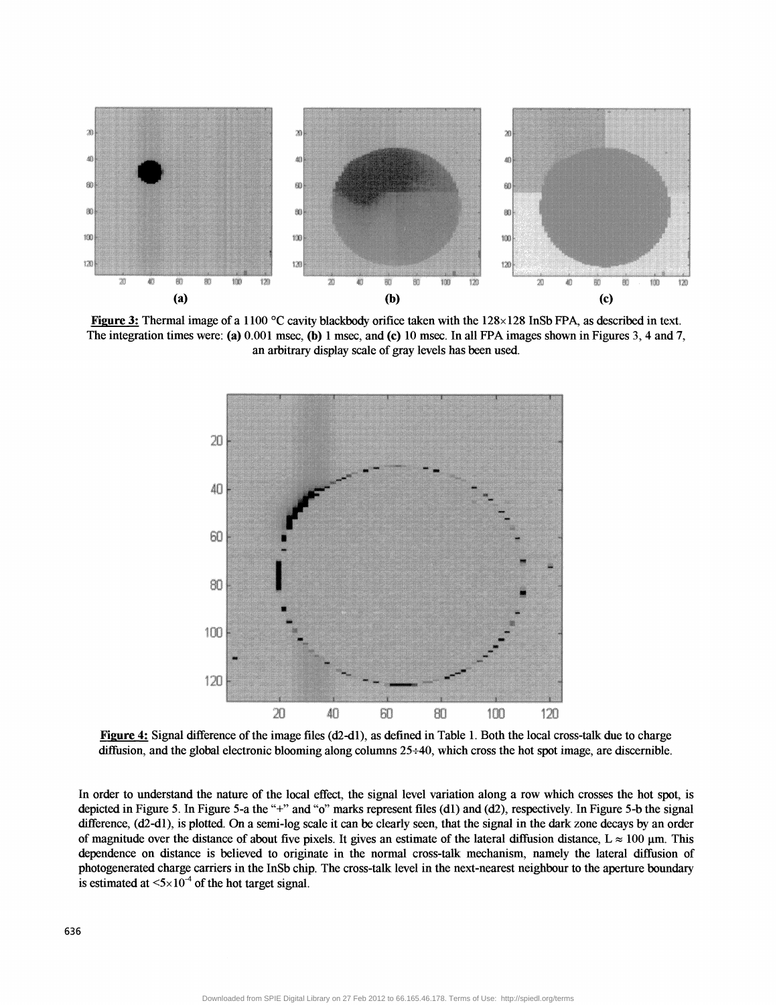

Figure 3: Thermal image of a 1100 °C cavity blackbody orifice taken with the 128×128 InSb FPA, as described in text. The integration times were: (a) 0.001 msec, (b) 1 msec, and (c) 10 msec. In all FPA images shown in Figures 3, 4 and 7, an arbitrary display scale of gray levels has been used.



Figure 4: Signal difference of the image files (d2-d1), as defined in Table 1. Both the local cross-talk due to charge diffusion, and the global electronic blooming along columns 25÷40, which cross the hot spot image, are discernible.

In order to understand the nature of the local effect, the signal level variation along a row which crosses the hot spot, is depicted in Figure 5. In Figure 5-a the "+" and "o" marks represent files (d1) and (d2), respectively. In Figure 5-b the signal difference, (d2-d1), is plotted. On a semi-log scale it can be clearly seen, that the signal in the dark zone decays by an order of magnitude over the distance of about five pixels. It gives an estimate of the lateral diffusion distance,  $L \approx 100 \mu m$ . This dependence on distance is believed to originate in the normal cross-talk mechanism, namely the lateral diffusion of photogenerated charge carriers in the InSb chip. The cross-talk level in the next-nearest neighbour to the aperture boundary is estimated at  $\leq 5 \times 10^{-4}$  of the hot target signal.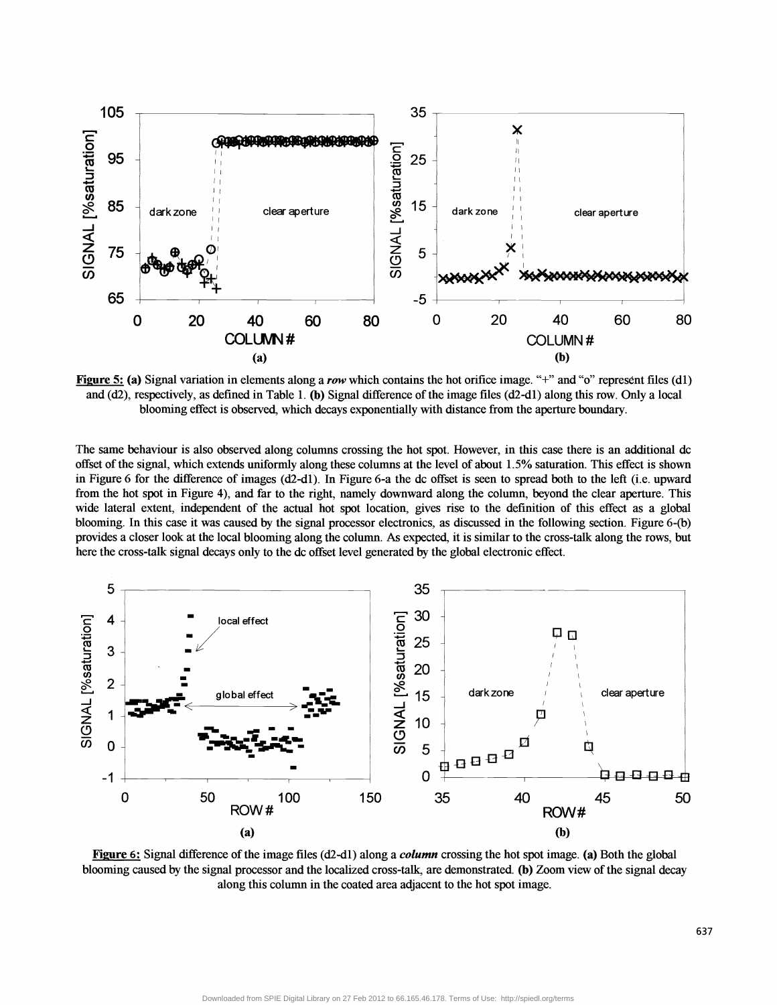

Figure 5: (a) Signal variation in elements along a row which contains the hot orifice image. "+" and "o" represent files (d1) and (d2), respectively, as defined in Table 1. (b) Signal difference ofthe image files (d2-dl) along this row. Only a local blooming effect is observed, which decays exponentially with distance from the aperture boundary.

The same behaviour is also observed along columns crossing the hot spot. However, in this case there is an additional dc offset ofthe signal, which extends uniformly along these columns at the level of about 1.5% saturation. This effect is shown in Figure 6 for the difference of images (d2-dl). In Figure 6-a the dc offset is seen to spread both to the left (i.e. upward from the hot spot in Figure 4), and far to the right, namely downward along the column, beyond the clear aperture. This wide lateral extent, independent of the actual hot spot location, gives rise to the definition of this effect as a global blooming. In this case it was caused by the signal processor electronics, as discussed in the following section. Figure 6-(b) provides a closer look at the local blooming along the column. As expected, it is similar to the cross-talk along the rows, but here the cross-talk signal decays only to the dc offset level generated by the global electronic effect.



Figure 6: Signal difference of the image files ( $d2-d1$ ) along a *column* crossing the hot spot image. (a) Both the global blooming caused by the signal processor and the localized cross-talk, are demonstrated. (b) Zoom view of the signal decay along this column in the coated area adjacent to the hot spot image.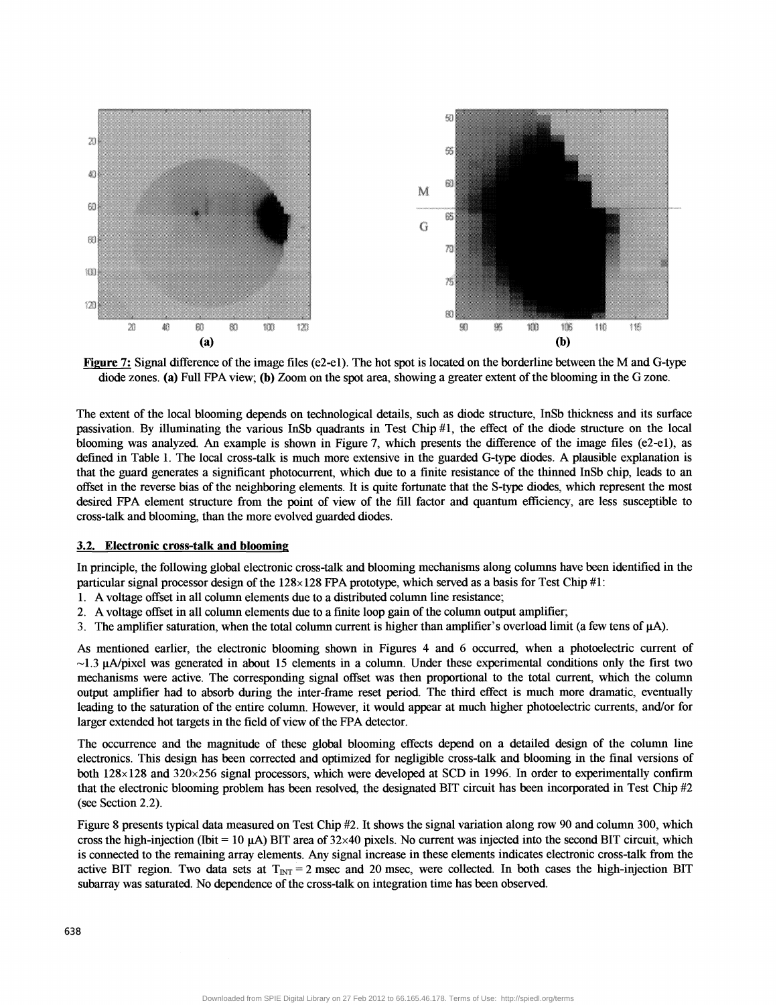

Figure 7: Signal difference ofthe image files (e2-el). The hot spot is located on the borderline between the M and G-type diode zones. (a) Full FPA view; (b) Zoom on the spot area, showing a greater extent of the blooming in the G zone.

The extent of the local blooming depends on technological details, such as diode structure, InSb thickness and its surface passivation. By illuminating the various InSb quadrants in Test Chip  $\#1$ , the effect of the diode structure on the local blooming was analyzed. An example is shown in Figure 7, which presents the difference of the image files (e2-el), as defined in Table 1. The local cross-talk is much more extensive in the guarded G-type diodes. A plausible explanation is that the guard generates a significant photocurrent, which due to a finite resistance of the thinned InSb chip, leads to an offset in the reverse bias of the neighboring elements. It is quite fortunate that the S-type diodes, which represent the most desired EPA element structure from the point of view of the fill factor and quantum efficiency, are less susceptible to cross-talk and blooming, than the more evolved guarded diodes.

#### 3.2. Electronic cross-talk and blooming

In principle, the following global electronic cross-talk and blooming mechanisms along columns have been identified in the particular signal processor design of the  $128 \times 128$  FPA prototype, which served as a basis for Test Chip #1:

- 1. A voltage offset in all colunm elements due to a distributed colunm line resistance;
- 2. A voltage offset in all column elements due to a finite loop gain of the column output amplifier;
- 3. The amplifier saturation, when the total column current is higher than amplifier's overload limit (a few tens of  $\mu$ A).

As mentioned earlier, the electronic blooming shown in Figures 4 and 6 occurred, when a photoelectric current of  $\sim$ 1.3  $\mu$ A/pixel was generated in about 15 elements in a column. Under these experimental conditions only the first two mechanisms were active. The corresponding signal offset was then proportional to the total current, which the column output amplifier had to absorb during the inter-frame reset period. The third effect is much more dramatic, eventually leading to the saturation of the entire column. However, it would appear at much higher photoelectric currents, and/or for larger extended hot targets in the field of view of the FPA detector.

The occurrence and the magnitude of these global blooming effects depend on a detailed design of the column line electronics. This design has been corrected and optimized for negligible cross-talk and blooming in the final versions of both 128x 128 and 320x256 signal processors, which were developed at SCD in 1996. In order to experimentally confirm that the electronic blooming problem has been resolved, the designated BIT circuit has been incorporated in Test Chip #2 (see Section 2.2).

Figure 8 presents typical data measured on Test Chip #2. It shows the signal variation along row 90 and column 300, which cross the high-injection (Ibit = 10  $\mu$ A) BIT area of 32×40 pixels. No current was injected into the second BIT circuit, which is connected to the remaining array elements. Any signal increase in these elements indicates electronic cross-talk from the active BIT region. Two data sets at  $T_{\text{INT}} = 2$  msec and 20 msec, were collected. In both cases the high-injection BIT subarray was saturated. No dependence of the cross-talk on integration time has been observed.